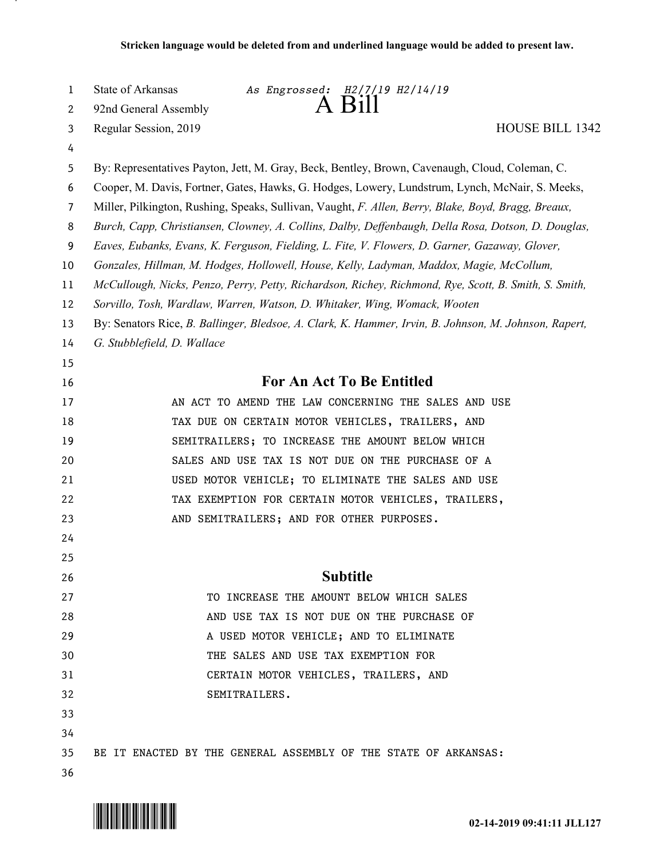| 1              | State of Arkansas<br>As Engrossed: H2/7/19 H2/14/19                                                   |
|----------------|-------------------------------------------------------------------------------------------------------|
| 2              | A Bill<br>92nd General Assembly                                                                       |
| 3              | <b>HOUSE BILL 1342</b><br>Regular Session, 2019                                                       |
| 4              |                                                                                                       |
| 5              | By: Representatives Payton, Jett, M. Gray, Beck, Bentley, Brown, Cavenaugh, Cloud, Coleman, C.        |
| 6              | Cooper, M. Davis, Fortner, Gates, Hawks, G. Hodges, Lowery, Lundstrum, Lynch, McNair, S. Meeks,       |
| $\overline{7}$ | Miller, Pilkington, Rushing, Speaks, Sullivan, Vaught, F. Allen, Berry, Blake, Boyd, Bragg, Breaux,   |
| 8              | Burch, Capp, Christiansen, Clowney, A. Collins, Dalby, Deffenbaugh, Della Rosa, Dotson, D. Douglas,   |
| 9              | Eaves, Eubanks, Evans, K. Ferguson, Fielding, L. Fite, V. Flowers, D. Garner, Gazaway, Glover,        |
| 10             | Gonzales, Hillman, M. Hodges, Hollowell, House, Kelly, Ladyman, Maddox, Magie, McCollum,              |
| 11             | McCullough, Nicks, Penzo, Perry, Petty, Richardson, Richey, Richmond, Rye, Scott, B. Smith, S. Smith, |
| 12             | Sorvillo, Tosh, Wardlaw, Warren, Watson, D. Whitaker, Wing, Womack, Wooten                            |
| 13             | By: Senators Rice, B. Ballinger, Bledsoe, A. Clark, K. Hammer, Irvin, B. Johnson, M. Johnson, Rapert, |
| 14             | G. Stubblefield, D. Wallace                                                                           |
| 15             |                                                                                                       |
| 16             | <b>For An Act To Be Entitled</b>                                                                      |
| 17             | AN ACT TO AMEND THE LAW CONCERNING THE SALES AND USE                                                  |
| 18             | TAX DUE ON CERTAIN MOTOR VEHICLES, TRAILERS, AND                                                      |
| 19             | SEMITRAILERS; TO INCREASE THE AMOUNT BELOW WHICH                                                      |
| 20             | SALES AND USE TAX IS NOT DUE ON THE PURCHASE OF A                                                     |
| 21             | USED MOTOR VEHICLE; TO ELIMINATE THE SALES AND USE                                                    |
| 22             | TAX EXEMPTION FOR CERTAIN MOTOR VEHICLES, TRAILERS,                                                   |
| 23             | AND SEMITRAILERS; AND FOR OTHER PURPOSES.                                                             |
| 24             |                                                                                                       |
| 25             |                                                                                                       |
| 26             | <b>Subtitle</b>                                                                                       |
| 27             | TO INCREASE THE AMOUNT BELOW WHICH SALES                                                              |
| 28             | AND USE TAX IS NOT DUE ON THE PURCHASE OF                                                             |
| 29             | A USED MOTOR VEHICLE; AND TO ELIMINATE                                                                |
| 30             | THE SALES AND USE TAX EXEMPTION FOR                                                                   |
| 31             | CERTAIN MOTOR VEHICLES, TRAILERS, AND                                                                 |
| 32             | SEMITRAILERS.                                                                                         |
| 33             |                                                                                                       |
| 34             |                                                                                                       |
| 35             | BE IT ENACTED BY THE GENERAL ASSEMBLY OF THE STATE OF ARKANSAS:                                       |
| 36             |                                                                                                       |